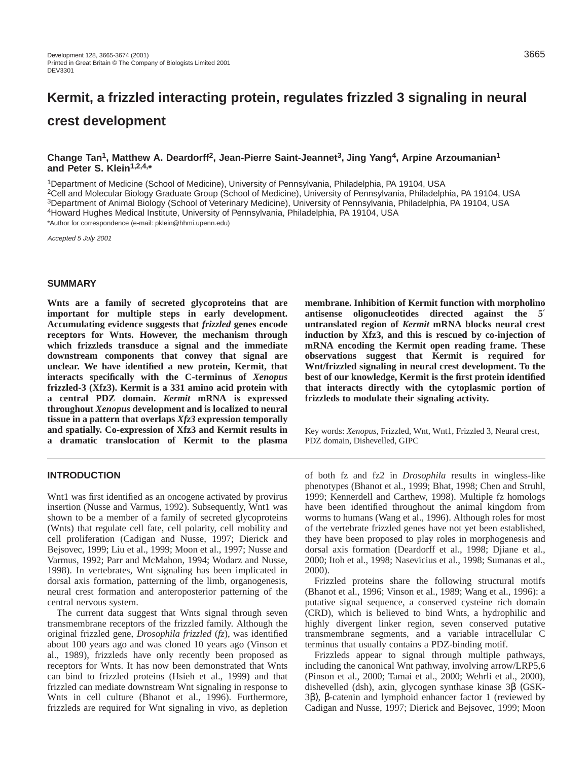# **Kermit, a frizzled interacting protein, regulates frizzled 3 signaling in neural crest development**

## **Change Tan1, Matthew A. Deardorff2, Jean-Pierre Saint-Jeannet3, Jing Yang4, Arpine Arzoumanian1 and Peter S. Klein1,2,4,\***

1Department of Medicine (School of Medicine), University of Pennsylvania, Philadelphia, PA 19104, USA

2Cell and Molecular Biology Graduate Group (School of Medicine), University of Pennsylvania, Philadelphia, PA 19104, USA

3Department of Animal Biology (School of Veterinary Medicine), University of Pennsylvania, Philadelphia, PA 19104, USA

4Howard Hughes Medical Institute, University of Pennsylvania, Philadelphia, PA 19104, USA

\*Author for correspondence (e-mail: pklein@hhmi.upenn.edu)

Accepted 5 July 2001

### **SUMMARY**

**Wnts are a family of secreted glycoproteins that are important for multiple steps in early development. Accumulating evidence suggests that** *frizzled* **genes encode receptors for Wnts. However, the mechanism through which frizzleds transduce a signal and the immediate downstream components that convey that signal are unclear. We have identified a new protein, Kermit, that interacts specifically with the C-terminus of** *Xenopus* **frizzled-3 (Xfz3). Kermit is a 331 amino acid protein with a central PDZ domain.** *Kermit* **mRNA is expressed throughout** *Xenopus* **development and is localized to neural tissue in a pattern that overlaps** *Xfz3* **expression temporally and spatially. Co-expression of Xfz3 and Kermit results in a dramatic translocation of Kermit to the plasma**

## **INTRODUCTION**

Wnt1 was first identified as an oncogene activated by provirus insertion (Nusse and Varmus, 1992). Subsequently, Wnt1 was shown to be a member of a family of secreted glycoproteins (Wnts) that regulate cell fate, cell polarity, cell mobility and cell proliferation (Cadigan and Nusse, 1997; Dierick and Bejsovec, 1999; Liu et al., 1999; Moon et al., 1997; Nusse and Varmus, 1992; Parr and McMahon, 1994; Wodarz and Nusse, 1998). In vertebrates, Wnt signaling has been implicated in dorsal axis formation, patterning of the limb, organogenesis, neural crest formation and anteroposterior patterning of the central nervous system.

The current data suggest that Wnts signal through seven transmembrane receptors of the frizzled family. Although the original frizzled gene, *Drosophila frizzled* (*fz*), was identified about 100 years ago and was cloned 10 years ago (Vinson et al., 1989), frizzleds have only recently been proposed as receptors for Wnts. It has now been demonstrated that Wnts can bind to frizzled proteins (Hsieh et al., 1999) and that frizzled can mediate downstream Wnt signaling in response to Wnts in cell culture (Bhanot et al., 1996). Furthermore, frizzleds are required for Wnt signaling in vivo, as depletion **membrane. Inhibition of Kermit function with morpholino antisense oligonucleotides directed against the 5**′ **untranslated region of** *Kermit* **mRNA blocks neural crest induction by Xfz3, and this is rescued by co-injection of mRNA encoding the Kermit open reading frame. These observations suggest that Kermit is required for Wnt/frizzled signaling in neural crest development. To the best of our knowledge, Kermit is the first protein identified that interacts directly with the cytoplasmic portion of frizzleds to modulate their signaling activity.**

Key words: *Xenopus*, Frizzled, Wnt, Wnt1, Frizzled 3, Neural crest, PDZ domain, Dishevelled, GIPC

of both fz and fz2 in *Drosophila* results in wingless-like phenotypes (Bhanot et al., 1999; Bhat, 1998; Chen and Struhl, 1999; Kennerdell and Carthew, 1998). Multiple fz homologs have been identified throughout the animal kingdom from worms to humans (Wang et al., 1996). Although roles for most of the vertebrate frizzled genes have not yet been established, they have been proposed to play roles in morphogenesis and dorsal axis formation (Deardorff et al., 1998; Djiane et al., 2000; Itoh et al., 1998; Nasevicius et al., 1998; Sumanas et al., 2000).

Frizzled proteins share the following structural motifs (Bhanot et al., 1996; Vinson et al., 1989; Wang et al., 1996): a putative signal sequence, a conserved cysteine rich domain (CRD), which is believed to bind Wnts, a hydrophilic and highly divergent linker region, seven conserved putative transmembrane segments, and a variable intracellular C terminus that usually contains a PDZ-binding motif.

Frizzleds appear to signal through multiple pathways, including the canonical Wnt pathway, involving arrow/LRP5,6 (Pinson et al., 2000; Tamai et al., 2000; Wehrli et al., 2000), dishevelled (dsh), axin, glycogen synthase kinase 3β (GSK-3β), β-catenin and lymphoid enhancer factor 1 (reviewed by Cadigan and Nusse, 1997; Dierick and Bejsovec, 1999; Moon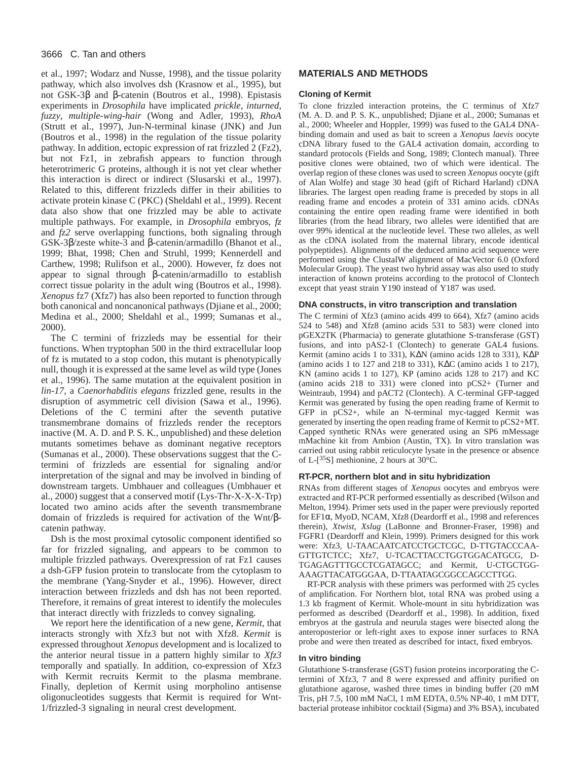## 3666 C. Tan and others

et al., 1997; Wodarz and Nusse, 1998), and the tissue polarity pathway, which also involves dsh (Krasnow et al., 1995), but not GSK-3β and β-catenin (Boutros et al., 1998). Epistasis experiments in *Drosophila* have implicated *prickle*, *inturned*, *fuzzy*, *multiple-wing-hair* (Wong and Adler, 1993), *RhoA* (Strutt et al., 1997), Jun-N-terminal kinase (JNK) and Jun (Boutros et al., 1998) in the regulation of the tissue polarity pathway. In addition, ectopic expression of rat frizzled 2 (Fz2), but not Fz1, in zebrafish appears to function through heterotrimeric G proteins, although it is not yet clear whether this interaction is direct or indirect (Slusarski et al., 1997). Related to this, different frizzleds differ in their abilities to activate protein kinase C (PKC) (Sheldahl et al., 1999). Recent data also show that one frizzled may be able to activate multiple pathways. For example, in *Drosophila* embryos, *fz* and *fz2* serve overlapping functions, both signaling through GSK-3β/zeste white-3 and β-catenin/armadillo (Bhanot et al., 1999; Bhat, 1998; Chen and Struhl, 1999; Kennerdell and Carthew, 1998; Rulifson et al., 2000). However, fz does not appear to signal through β-catenin/armadillo to establish correct tissue polarity in the adult wing (Boutros et al., 1998). *Xenopus* fz7 (Xfz7) has also been reported to function through both canonical and noncanonical pathways (Djiane et al., 2000; Medina et al., 2000; Sheldahl et al., 1999; Sumanas et al., 2000).

The C termini of frizzleds may be essential for their functions. When tryptophan 500 in the third extracellular loop of fz is mutated to a stop codon, this mutant is phenotypically null, though it is expressed at the same level as wild type (Jones et al., 1996). The same mutation at the equivalent position in *lin-17*, a *Caenorhabditis elegans* frizzled gene, results in the disruption of asymmetric cell division (Sawa et al., 1996). Deletions of the C termini after the seventh putative transmembrane domains of frizzleds render the receptors inactive (M. A. D. and P. S. K., unpublished) and these deletion mutants sometimes behave as dominant negative receptors (Sumanas et al., 2000). These observations suggest that the Ctermini of frizzleds are essential for signaling and/or interpretation of the signal and may be involved in binding of downstream targets. Umbhauer and colleagues (Umbhauer et al., 2000) suggest that a conserved motif (Lys-Thr-X-X-X-Trp) located two amino acids after the seventh transmembrane domain of frizzleds is required for activation of the Wnt/βcatenin pathway.

Dsh is the most proximal cytosolic component identified so far for frizzled signaling, and appears to be common to multiple frizzled pathways. Overexpression of rat Fz1 causes a dsh-GFP fusion protein to translocate from the cytoplasm to the membrane (Yang-Snyder et al., 1996). However, direct interaction between frizzleds and dsh has not been reported. Therefore, it remains of great interest to identify the molecules that interact directly with frizzleds to convey signaling.

We report here the identification of a new gene, *Kermit*, that interacts strongly with Xfz3 but not with Xfz8. *Kermit* is expressed throughout *Xenopus* development and is localized to the anterior neural tissue in a pattern highly similar to *Xfz3* temporally and spatially. In addition, co-expression of Xfz3 with Kermit recruits Kermit to the plasma membrane. Finally, depletion of Kermit using morpholino antisense oligonucleotides suggests that Kermit is required for Wnt-1/frizzled-3 signaling in neural crest development.

# **MATERIALS AND METHODS**

### **Cloning of Kermit**

To clone frizzled interaction proteins, the C terminus of Xfz7 (M. A. D. and P. S. K., unpublished; Djiane et al., 2000; Sumanas et al., 2000; Wheeler and Hoppler, 1999) was fused to the GAL4 DNAbinding domain and used as bait to screen a *Xenopus laevis* oocyte cDNA library fused to the GAL4 activation domain, according to standard protocols (Fields and Song, 1989; Clontech manual). Three positive clones were obtained, two of which were identical. The overlap region of these clones was used to screen *Xenopus* oocyte (gift of Alan Wolfe) and stage 30 head (gift of Richard Harland) cDNA libraries. The largest open reading frame is preceded by stops in all reading frame and encodes a protein of 331 amino acids. cDNAs containing the entire open reading frame were identified in both libraries (from the head library, two alleles were identified that are over 99% identical at the nucleotide level. These two alleles, as well as the cDNA isolated from the maternal library, encode identical polypeptides). Alignments of the deduced amino acid sequence were performed using the ClustalW alignment of MacVector 6.0 (Oxford Molecular Group). The yeast two hybrid assay was also used to study interaction of known proteins according to the protocol of Clontech except that yeast strain Y190 instead of Y187 was used.

#### **DNA constructs, in vitro transcription and translation**

The C termini of Xfz3 (amino acids 499 to 664), Xfz7 (amino acids 524 to 548) and Xfz8 (amino acids 531 to 583) were cloned into pGEX2TK (Pharmacia) to generate glutathione S-transferase (GST) fusions, and into pAS2-1 (Clontech) to generate GAL4 fusions. Kermit (amino acids 1 to 331), K∆N (amino acids 128 to 331), K∆P (amino acids 1 to 127 and 218 to 331), K∆C (amino acids 1 to 217), KN (amino acids 1 to 127), KP (amino acids 128 to 217) and KC (amino acids 218 to 331) were cloned into pCS2+ (Turner and Weintraub, 1994) and pACT2 (Clontech). A C-terminal GFP-tagged Kermit was generated by fusing the open reading frame of Kermit to GFP in pCS2+, while an N-terminal myc-tagged Kermit was generated by inserting the open reading frame of Kermit to pCS2+MT. Capped synthetic RNAs were generated using an SP6 mMessage mMachine kit from Ambion (Austin, TX). In vitro translation was carried out using rabbit reticulocyte lysate in the presence or absence of L-[35S] methionine, 2 hours at 30°C.

#### **RT-PCR, northern blot and in situ hybridization**

RNAs from different stages of *Xenopus* oocytes and embryos were extracted and RT-PCR performed essentially as described (Wilson and Melton, 1994). Primer sets used in the paper were previously reported for EF1α, MyoD, NCAM, Xfz8 (Deardorff et al., 1998 and references therein), *Xtwist*, *Xslug* (LaBonne and Bronner-Fraser, 1998) and FGFR1 (Deardorff and Klein, 1999). Primers designed for this work were: Xfz3, U-TAACAATCATCCTGCTCGC, D-TTGTACCCAA-GTTGTCTCC; Xfz7, U-TCACTTACCTGGTGGACATGCG, D-TGAGAGTTTGCCTCGATAGCC; and Kermit, U-CTGCTGG-AAAGTTACATGGGAA, D-TTAATAGCGGCCAGCCTTGG.

RT-PCR analysis with these primers was performed with 25 cycles of amplification. For Northern blot, total RNA was probed using a 1.3 kb fragment of Kermit. Whole-mount in situ hybridization was performed as described (Deardorff et al., 1998). In addition, fixed embryos at the gastrula and neurula stages were bisected along the anteroposterior or left-right axes to expose inner surfaces to RNA probe and were then treated as described for intact, fixed embryos.

#### **In vitro binding**

Glutathione S-transferase (GST) fusion proteins incorporating the Ctermini of Xfz3, 7 and 8 were expressed and affinity purified on glutathione agarose, washed three times in binding buffer (20 mM Tris, pH 7.5, 100 mM NaCl, 1 mM EDTA, 0.5% NP-40, 1 mM DTT, bacterial protease inhibitor cocktail (Sigma) and 3% BSA), incubated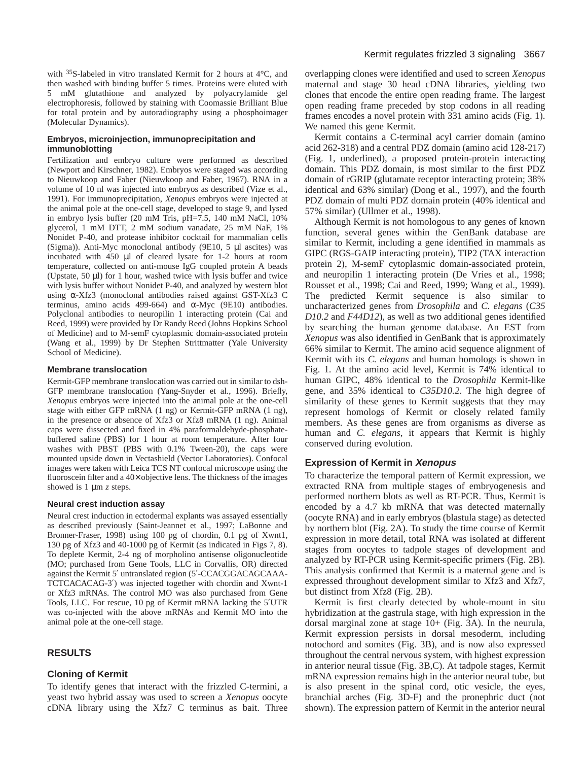with 35S-labeled in vitro translated Kermit for 2 hours at 4°C, and then washed with binding buffer 5 times. Proteins were eluted with 5 mM glutathione and analyzed by polyacrylamide gel electrophoresis, followed by staining with Coomassie Brilliant Blue for total protein and by autoradiography using a phosphoimager (Molecular Dynamics).

## **Embryos, microinjection, immunoprecipitation and immunoblotting**

Fertilization and embryo culture were performed as described (Newport and Kirschner, 1982). Embryos were staged was according to Nieuwkoop and Faber (Nieuwkoop and Faber, 1967). RNA in a volume of 10 nl was injected into embryos as described (Vize et al., 1991). For immunoprecipitation, *Xenopus* embryos were injected at the animal pole at the one-cell stage, developed to stage 9, and lysed in embryo lysis buffer (20 mM Tris, pH=7.5, 140 mM NaCl, 10% glycerol, 1 mM DTT, 2 mM sodium vanadate, 25 mM NaF, 1% Nonidet P-40, and protease inhibitor cocktail for mammalian cells (Sigma)). Anti-Myc monoclonal antibody (9E10, 5 µl ascites) was incubated with 450 µl of cleared lysate for 1-2 hours at room temperature, collected on anti-mouse IgG coupled protein A beads (Upstate, 50 µl) for 1 hour, washed twice with lysis buffer and twice with lysis buffer without Nonidet P-40, and analyzed by western blot using α-Xfz3 (monoclonal antibodies raised against GST-Xfz3 C terminus, amino acids 499-664) and  $\alpha$ -Myc (9E10) antibodies. Polyclonal antibodies to neuropilin 1 interacting protein (Cai and Reed, 1999) were provided by Dr Randy Reed (Johns Hopkins School of Medicine) and to M-semF cytoplasmic domain-associated protein (Wang et al., 1999) by Dr Stephen Strittmatter (Yale University School of Medicine).

## **Membrane translocation**

Kermit-GFP membrane translocation was carried out in similar to dsh-GFP membrane translocation (Yang-Snyder et al., 1996). Briefly, *Xenopus* embryos were injected into the animal pole at the one-cell stage with either GFP mRNA (1 ng) or Kermit-GFP mRNA (1 ng), in the presence or absence of Xfz3 or Xfz8 mRNA (1 ng). Animal caps were dissected and fixed in 4% paraformaldehyde-phosphatebuffered saline (PBS) for 1 hour at room temperature. After four washes with PBST (PBS with 0.1% Tween-20), the caps were mounted upside down in Vectashield (Vector Laboratories). Confocal images were taken with Leica TCS NT confocal microscope using the fluoroscein filter and a 40× objective lens. The thickness of the images showed is 1 µm *z* steps.

## **Neural crest induction assay**

Neural crest induction in ectodermal explants was assayed essentially as described previously (Saint-Jeannet et al., 1997; LaBonne and Bronner-Fraser, 1998) using 100 pg of chordin, 0.1 pg of Xwnt1, 130 pg of Xfz3 and 40-1000 pg of Kermit (as indicated in Figs 7, 8). To deplete Kermit, 2-4 ng of morpholino antisense oligonucleotide (MO; purchased from Gene Tools, LLC in Corvallis, OR) directed against the Kermit 5′ untranslated region (5′-CCACGGACAGCAAA-TCTCACACAG-3′) was injected together with chordin and Xwnt-1 or Xfz3 mRNAs. The control MO was also purchased from Gene Tools, LLC. For rescue, 10 pg of Kermit mRNA lacking the 5′UTR was co-injected with the above mRNAs and Kermit MO into the animal pole at the one-cell stage.

# **RESULTS**

# **Cloning of Kermit**

To identify genes that interact with the frizzled C-termini, a yeast two hybrid assay was used to screen a *Xenopus* oocyte cDNA library using the Xfz7 C terminus as bait. Three

overlapping clones were identified and used to screen *Xenopus* maternal and stage 30 head cDNA libraries, yielding two clones that encode the entire open reading frame. The largest open reading frame preceded by stop codons in all reading frames encodes a novel protein with 331 amino acids (Fig. 1). We named this gene Kermit.

Kermit contains a C-terminal acyl carrier domain (amino acid 262-318) and a central PDZ domain (amino acid 128-217) (Fig. 1, underlined), a proposed protein-protein interacting domain. This PDZ domain, is most similar to the first PDZ domain of rGRIP (glutamate receptor interacting protein; 38% identical and 63% similar) (Dong et al., 1997), and the fourth PDZ domain of multi PDZ domain protein (40% identical and 57% similar) (Ullmer et al., 1998).

Although Kermit is not homologous to any genes of known function, several genes within the GenBank database are similar to Kermit, including a gene identified in mammals as GIPC (RGS-GAIP interacting protein), TIP2 (TAX interaction protein 2), M-semF cytoplasmic domain-associated protein, and neuropilin 1 interacting protein (De Vries et al., 1998; Rousset et al., 1998; Cai and Reed, 1999; Wang et al., 1999). The predicted Kermit sequence is also similar to uncharacterized genes from *Drosophila* and *C. elegans* (*C35 D10.2* and *F44D12*), as well as two additional genes identified by searching the human genome database. An EST from *Xenopus* was also identified in GenBank that is approximately 66% similar to Kermit. The amino acid sequence alignment of Kermit with its *C. elegans* and human homologs is shown in Fig. 1. At the amino acid level, Kermit is 74% identical to human GIPC, 48% identical to the *Drosophila* Kermit-like gene, and 35% identical to *C35D10.2*. The high degree of similarity of these genes to Kermit suggests that they may represent homologs of Kermit or closely related family members. As these genes are from organisms as diverse as human and *C. elegans*, it appears that Kermit is highly conserved during evolution.

# **Expression of Kermit in Xenopus**

To characterize the temporal pattern of Kermit expression, we extracted RNA from multiple stages of embryogenesis and performed northern blots as well as RT-PCR. Thus, Kermit is encoded by a 4.7 kb mRNA that was detected maternally (oocyte RNA) and in early embryos (blastula stage) as detected by northern blot (Fig. 2A). To study the time course of Kermit expression in more detail, total RNA was isolated at different stages from oocytes to tadpole stages of development and analyzed by RT-PCR using Kermit-specific primers (Fig. 2B). This analysis confirmed that Kermit is a maternal gene and is expressed throughout development similar to Xfz3 and Xfz7, but distinct from Xfz8 (Fig. 2B).

Kermit is first clearly detected by whole-mount in situ hybridization at the gastrula stage, with high expression in the dorsal marginal zone at stage 10+ (Fig. 3A). In the neurula, Kermit expression persists in dorsal mesoderm, including notochord and somites (Fig. 3B), and is now also expressed throughout the central nervous system, with highest expression in anterior neural tissue (Fig. 3B,C). At tadpole stages, Kermit mRNA expression remains high in the anterior neural tube, but is also present in the spinal cord, otic vesicle, the eyes, branchial arches (Fig. 3D-F) and the pronephric duct (not shown). The expression pattern of Kermit in the anterior neural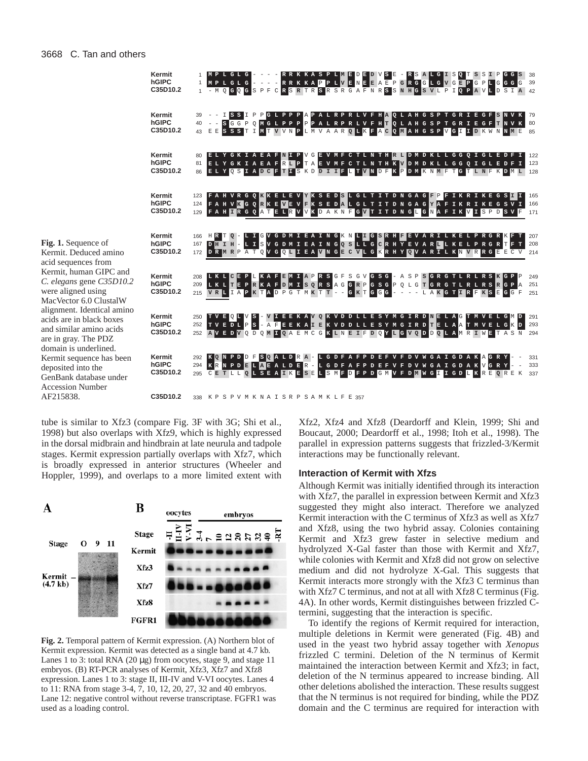|                                                                                                                              | Kermit<br>hGIPC<br>C35D10.2 |                   | MPLGLG<br>1 MPLGLG<br>1 - M Q G Q G S P F C R S R T R S R S R G A F N R S S N H G S V L P I Q P A V L D S I A 42                      |                                                                              | - RRKKASPLMEDEDVS<br>- RRKKAPPLVENEEAEPGRGGLGVGEPGPLGGGG      |  |                         |       | E                                   |                          | - RSALGIS             | IQ.<br>$\mathbf{s}$ | l S<br>I<br>$\mathbb{P}$                        | GGS        | 38<br>39          |
|------------------------------------------------------------------------------------------------------------------------------|-----------------------------|-------------------|---------------------------------------------------------------------------------------------------------------------------------------|------------------------------------------------------------------------------|---------------------------------------------------------------|--|-------------------------|-------|-------------------------------------|--------------------------|-----------------------|---------------------|-------------------------------------------------|------------|-------------------|
|                                                                                                                              | Kermit<br>hGIPC<br>C35D10.2 |                   | $  S$ G G P O<br>43 EESSSTIMTVVNPLMVAARQLKFACQMAHGSPVGIIDKWNMME                                                                       | PGLPPPAPALRPRLVFHAQLAHGSPTGRIEGFSNVK<br>MGLPPPPPALRPRLVFHTQLAHGSPTGRIEGFTNVK |                                                               |  |                         |       |                                     |                          |                       |                     |                                                 |            | 79<br>80<br>85    |
|                                                                                                                              | Kermit<br>hGIPC<br>C35D10.2 | 81                | ELY GKIAEAFN<br>ELY GKIAEAFRIP TAEVMF C TL N TH K V D M D K L L G G Q I G L E D F I<br>86 ELYOSIADCETISKDDIIFLTVNDFKPDMKNMFTGTLNFKDML |                                                                              | V G<br>II P                                                   |  |                         |       |                                     |                          |                       |                     | EVMF C TL N THE L D M D K L L G G Q I G L E D F |            | 122<br>123<br>128 |
|                                                                                                                              | Kermit<br>hGIPC<br>C35D10.2 | 123<br>124<br>129 | FAHVRGOKKELEV KKSEDSLGLTITDNGAG<br>FAHVK GORKEVEVFKSEDAL GLTITDNGAGYAFIKRIKE GSVI<br>FAH IRGQATELRVVKDAKNFGVTITDNGLGNAFIKVISPDSVF     |                                                                              |                                                               |  |                         |       |                                     |                          | IF P F                |                     | IKRIKE GS <b>EL</b> I                           |            | 165<br>166<br>171 |
| <b>Fig. 1.</b> Sequence of<br>Kermit. Deduced amino<br>acid sequences from                                                   | Kermit<br>hGIPC<br>C35D10.2 | 166<br>167<br>172 | HR<br>DHIH - LISVGDMIEAINGQSLLGCRHYEVARLLKELPRGRTFT<br>DRMRPATQVGQLIEAVNGECVLGKRHYQVARTLKNVRRGEECV                                    | GVGDMIEAINGKNLIGSRHEEVARILKELPRGR                                            |                                                               |  |                         |       |                                     |                          |                       |                     |                                                 |            | 207<br>208<br>214 |
| Kermit, human GIPC and<br>C. elegans gene C35D10.2<br>were aligned using<br>MacVector 6.0 ClustalW                           | Kermit<br>hGIPC<br>C35D10.2 | 208<br>209<br>215 | LKLCE<br>LKLTEPRKAFDMISQRSAGGRPGSGPQLGTGRGTLRLRSRGP<br>VRLIAPKTADPGTMKTT --                                                           |                                                                              | FEMIAPRSGF                                                    |  | S<br>G V<br>G K T G G G | G S G | $- A S$<br>$\overline{\phantom{a}}$ | $\overline{\phantom{a}}$ | P S G R G T L R L R S |                     | LAKGTIRFKSEGGF                                  | ∥G P<br>Α  | 249<br>251<br>251 |
| alignment. Identical amino<br>acids are in black boxes<br>and similar amino acids<br>are in gray. The PDZ                    | Kermit<br>hGIPC<br>C35D10.2 | 250               | TVEQLVS<br>252 TVEDLPS - AFEEKAIEKVDDLLESYMGIRD TELAATMVELGKD<br>252 AVEDVODOMIQAEMCGKLNEIFDOYLGVODDOLAMRIWETAS                       |                                                                              | I EEKAV OK VD D L L E S Y M G I R D N E L A G T M V E L G M D |  |                         |       |                                     |                          |                       |                     |                                                 | $_{\rm N}$ | 291<br>293<br>294 |
| domain is underlined.<br>Kermit sequence has been<br>deposited into the<br>GenBank database under<br><b>Accession Number</b> | Kermit<br>hGIPC<br>C35D10.2 | 292<br>294        | KONPDDFSOALDRA-LGDFAFPDEFVFDV<br>KRNPDELAEALDER - LGDFAFPDEFVFDVWGAIGDAKVGRY<br>295 CETLLQLSEAIKESELSMFDFPDGMVFDMWGIIGDLKREQREK       |                                                                              |                                                               |  |                         |       |                                     |                          |                       |                     | W GAIGDAKAGRY                                   |            | 331<br>333<br>337 |
| AF215838.                                                                                                                    | C35D10.2                    | 338               | K P                                                                                                                                   | SPVMKNAISRPSAMKLFE357                                                        |                                                               |  |                         |       |                                     |                          |                       |                     |                                                 |            |                   |

tube is similar to Xfz3 (compare Fig. 3F with 3G; Shi et al., 1998) but also overlaps with Xfz9, which is highly expressed in the dorsal midbrain and hindbrain at late neurula and tadpole stages. Kermit expression partially overlaps with Xfz7, which is broadly expressed in anterior structures (Wheeler and Hoppler, 1999), and overlaps to a more limited extent with



**Fig. 2.** Temporal pattern of Kermit expression. (A) Northern blot of Kermit expression. Kermit was detected as a single band at 4.7 kb. Lanes 1 to 3: total RNA  $(20 \mu g)$  from oocytes, stage 9, and stage 11 embryos. (B) RT-PCR analyses of Kermit, Xfz3, Xfz7 and Xfz8 expression. Lanes 1 to 3: stage II, III-IV and V-VI oocytes. Lanes 4 to 11: RNA from stage 3-4, 7, 10, 12, 20, 27, 32 and 40 embryos. Lane 12: negative control without reverse transcriptase. FGFR1 was used as a loading control.

Xfz2, Xfz4 and Xfz8 (Deardorff and Klein, 1999; Shi and Boucaut, 2000; Deardorff et al., 1998; Itoh et al., 1998). The parallel in expression patterns suggests that frizzled-3/Kermit interactions may be functionally relevant.

### **Interaction of Kermit with Xfzs**

Although Kermit was initially identified through its interaction with Xfz7, the parallel in expression between Kermit and Xfz3 suggested they might also interact. Therefore we analyzed Kermit interaction with the C terminus of Xfz3 as well as Xfz7 and Xfz8, using the two hybrid assay. Colonies containing Kermit and Xfz3 grew faster in selective medium and hydrolyzed X-Gal faster than those with Kermit and Xfz7, while colonies with Kermit and Xfz8 did not grow on selective medium and did not hydrolyze X-Gal. This suggests that Kermit interacts more strongly with the Xfz3 C terminus than with Xfz7 C terminus, and not at all with Xfz8 C terminus (Fig. 4A). In other words, Kermit distinguishes between frizzled Ctermini, suggesting that the interaction is specific.

To identify the regions of Kermit required for interaction, multiple deletions in Kermit were generated (Fig. 4B) and used in the yeast two hybrid assay together with *Xenopus* frizzled C termini. Deletion of the N terminus of Kermit maintained the interaction between Kermit and Xfz3; in fact, deletion of the N terminus appeared to increase binding. All other deletions abolished the interaction. These results suggest that the N terminus is not required for binding, while the PDZ domain and the C terminus are required for interaction with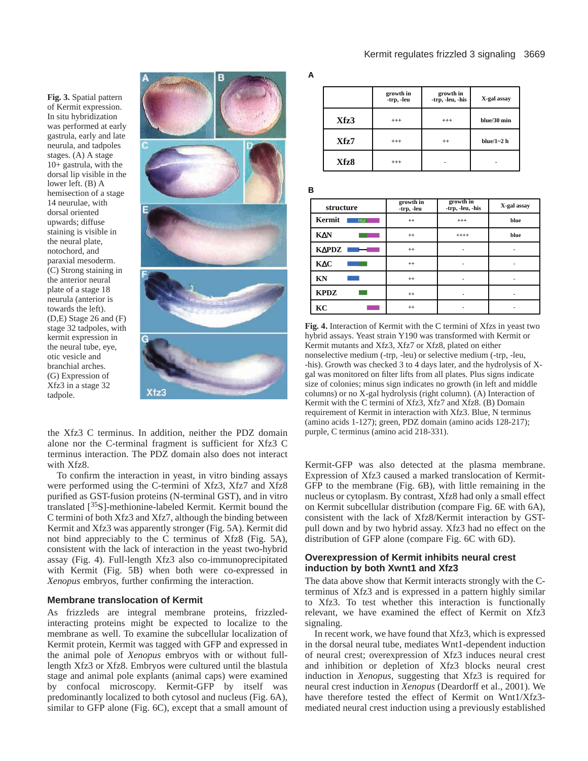**Fig. 3.** Spatial pattern of Kermit expression. In situ hybridization was performed at early gastrula, early and late neurula, and tadpoles stages. (A) A stage 10+ gastrula, with the dorsal lip visible in the lower left. (B) A hemisection of a stage 14 neurulae, with dorsal oriented upwards; diffuse staining is visible in the neural plate, notochord, and paraxial mesoderm. (C) Strong staining in the anterior neural plate of a stage 18 neurula (anterior is towards the left). (D,E) Stage 26 and (F) stage 32 tadpoles, with kermit expression in the neural tube, eye, otic vesicle and branchial arches. (G) Expression of Xfz3 in a stage 32 tadpole.



the Xfz3 C terminus. In addition, neither the PDZ domain alone nor the C-terminal fragment is sufficient for Xfz3 C terminus interaction. The PDZ domain also does not interact with Xfz8.

To confirm the interaction in yeast, in vitro binding assays were performed using the C-termini of Xfz3, Xfz7 and Xfz8 purified as GST-fusion proteins (N-terminal GST), and in vitro translated [35S]-methionine-labeled Kermit. Kermit bound the C termini of both Xfz3 and Xfz7, although the binding between Kermit and Xfz3 was apparently stronger (Fig. 5A). Kermit did not bind appreciably to the C terminus of Xfz8 (Fig. 5A), consistent with the lack of interaction in the yeast two-hybrid assay (Fig. 4). Full-length Xfz3 also co-immunoprecipitated with Kermit (Fig. 5B) when both were co-expressed in *Xenopus* embryos, further confirming the interaction.

## **Membrane translocation of Kermit**

As frizzleds are integral membrane proteins, frizzledinteracting proteins might be expected to localize to the membrane as well. To examine the subcellular localization of Kermit protein, Kermit was tagged with GFP and expressed in the animal pole of *Xenopus* embryos with or without fulllength Xfz3 or Xfz8. Embryos were cultured until the blastula stage and animal pole explants (animal caps) were examined by confocal microscopy. Kermit-GFP by itself was predominantly localized to both cytosol and nucleus (Fig. 6A), similar to GFP alone (Fig. 6C), except that a small amount of  **growth in**

**A**

**B**

|      | growth in<br>-trp, -leu | growth in<br>-trp, -leu, -his | X-gal assay     |
|------|-------------------------|-------------------------------|-----------------|
| Xfz3 | $^{+++}$                | $^{+++}$                      | blue/30 min     |
| Xfz7 | $^{+++}$                | $^{++}$                       | blue/ $1 - 2$ h |
| Xfz8 | $^{+++}$                |                               |                 |

PDZ

| structure       | growth in<br>-trp, -leu | growth in<br>-trp, -leu, -his | X-gal assay |  |  |
|-----------------|-------------------------|-------------------------------|-------------|--|--|
| Kermit<br>PDZ   | $^{++}$                 | $^{+++}$                      | blue        |  |  |
| KΔN             | $^{++}$                 | $++++$                        | blue        |  |  |
| K∆PDZ<br>—<br>— | $^{++}$                 |                               |             |  |  |
| <b>KAC</b>      | $^{++}$                 |                               |             |  |  |
| <b>KN</b>       | $^{++}$                 |                               |             |  |  |
| <b>KPDZ</b>     | $^{++}$                 |                               |             |  |  |
| KC              | $^{++}$                 |                               |             |  |  |

**Fig. 4.** Interaction of Kermit with the C termini of Xfzs in yeast two hybrid assays. Yeast strain Y190 was transformed with Kermit or Kermit mutants and Xfz3, Xfz7 or Xfz8, plated on either nonselective medium (-trp, -leu) or selective medium (-trp, -leu, -his). Growth was checked 3 to 4 days later, and the hydrolysis of Xgal was monitored on filter lifts from all plates. Plus signs indicate size of colonies; minus sign indicates no growth (in left and middle columns) or no X-gal hydrolysis (right column). (A) Interaction of Kermit with the C termini of Xfz3, Xfz7 and Xfz8. (B) Domain requirement of Kermit in interaction with Xfz3. Blue, N terminus (amino acids 1-127); green, PDZ domain (amino acids 128-217); purple, C terminus (amino acid 218-331).

Kermit-GFP was also detected at the plasma membrane. Expression of Xfz3 caused a marked translocation of Kermit-GFP to the membrane (Fig. 6B), with little remaining in the nucleus or cytoplasm. By contrast, Xfz8 had only a small effect on Kermit subcellular distribution (compare Fig. 6E with 6A), consistent with the lack of Xfz8/Kermit interaction by GSTpull down and by two hybrid assay. Xfz3 had no effect on the distribution of GFP alone (compare Fig. 6C with 6D).

## **Overexpression of Kermit inhibits neural crest induction by both Xwnt1 and Xfz3**

The data above show that Kermit interacts strongly with the Cterminus of Xfz3 and is expressed in a pattern highly similar to Xfz3. To test whether this interaction is functionally relevant, we have examined the effect of Kermit on Xfz3 signaling.

In recent work, we have found that Xfz3, which is expressed in the dorsal neural tube, mediates Wnt1-dependent induction of neural crest; overexpression of Xfz3 induces neural crest and inhibition or depletion of Xfz3 blocks neural crest induction in *Xenopus*, suggesting that Xfz3 is required for neural crest induction in *Xenopus* (Deardorff et al., 2001). We have therefore tested the effect of Kermit on Wnt1/Xfz3 mediated neural crest induction using a previously established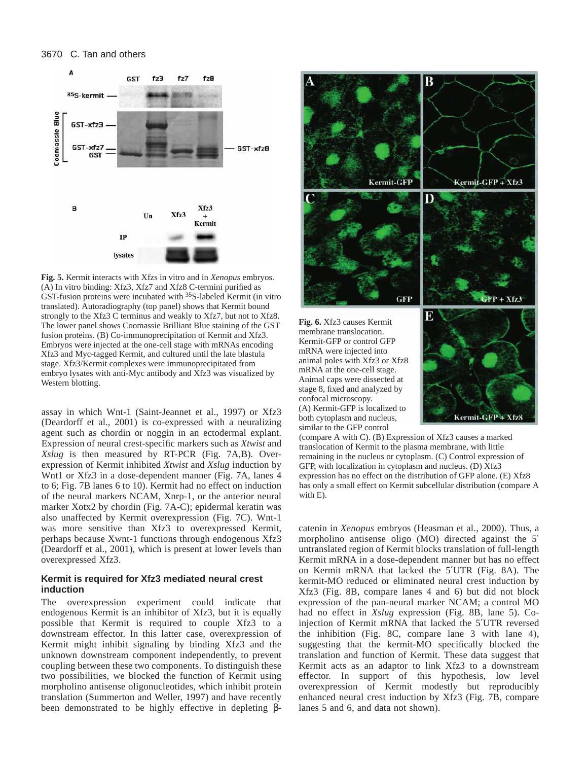## 3670 C. Tan and others



**Fig. 5.** Kermit interacts with Xfzs in vitro and in *Xenopus* embryos. (A) In vitro binding: Xfz3, Xfz7 and Xfz8 C-termini purified as GST-fusion proteins were incubated with 35S-labeled Kermit (in vitro translated). Autoradiography (top panel) shows that Kermit bound strongly to the Xfz3 C terminus and weakly to Xfz7, but not to Xfz8. The lower panel shows Coomassie Brilliant Blue staining of the GST fusion proteins. (B) Co-immunoprecipitation of Kermit and Xfz3. Embryos were injected at the one-cell stage with mRNAs encoding Xfz3 and Myc-tagged Kermit, and cultured until the late blastula stage. Xfz3/Kermit complexes were immunoprecipitated from embryo lysates with anti-Myc antibody and Xfz3 was visualized by Western blotting.

assay in which Wnt-1 (Saint-Jeannet et al., 1997) or Xfz3 (Deardorff et al., 2001) is co-expressed with a neuralizing agent such as chordin or noggin in an ectodermal explant. Expression of neural crest-specific markers such as *Xtwist* and *Xslug* is then measured by RT-PCR (Fig. 7A,B). Overexpression of Kermit inhibited *Xtwist* and *Xslug* induction by Wnt1 or Xfz3 in a dose-dependent manner (Fig. 7A, lanes 4 to 6; Fig. 7B lanes 6 to 10). Kermit had no effect on induction of the neural markers NCAM, Xnrp-1, or the anterior neural marker Xotx2 by chordin (Fig. 7A-C); epidermal keratin was also unaffected by Kermit overexpression (Fig. 7C). Wnt-1 was more sensitive than Xfz3 to overexpressed Kermit, perhaps because Xwnt-1 functions through endogenous Xfz3 (Deardorff et al., 2001), which is present at lower levels than overexpressed Xfz3.

## **Kermit is required for Xfz3 mediated neural crest induction**

The overexpression experiment could indicate that endogenous Kermit is an inhibitor of Xfz3, but it is equally possible that Kermit is required to couple Xfz3 to a downstream effector. In this latter case, overexpression of Kermit might inhibit signaling by binding Xfz3 and the unknown downstream component independently, to prevent coupling between these two components. To distinguish these two possibilities, we blocked the function of Kermit using morpholino antisense oligonucleotides, which inhibit protein translation (Summerton and Weller, 1997) and have recently been demonstrated to be highly effective in depleting β-



(compare A with C). (B) Expression of Xfz3 causes a marked translocation of Kermit to the plasma membrane, with little remaining in the nucleus or cytoplasm. (C) Control expression of GFP, with localization in cytoplasm and nucleus. (D) Xfz3 expression has no effect on the distribution of GFP alone. (E) Xfz8 has only a small effect on Kermit subcellular distribution (compare A with E).

catenin in *Xenopus* embryos (Heasman et al., 2000). Thus, a morpholino antisense oligo (MO) directed against the 5′ untranslated region of Kermit blocks translation of full-length Kermit mRNA in a dose-dependent manner but has no effect on Kermit mRNA that lacked the 5′UTR (Fig. 8A). The kermit-MO reduced or eliminated neural crest induction by Xfz3 (Fig. 8B, compare lanes 4 and 6) but did not block expression of the pan-neural marker NCAM; a control MO had no effect in *Xslug* expression (Fig. 8B, lane 5). Coinjection of Kermit mRNA that lacked the 5′UTR reversed the inhibition (Fig. 8C, compare lane 3 with lane 4), suggesting that the kermit-MO specifically blocked the translation and function of Kermit. These data suggest that Kermit acts as an adaptor to link Xfz3 to a downstream effector. In support of this hypothesis, low level overexpression of Kermit modestly but reproducibly enhanced neural crest induction by Xfz3 (Fig. 7B, compare lanes 5 and 6, and data not shown).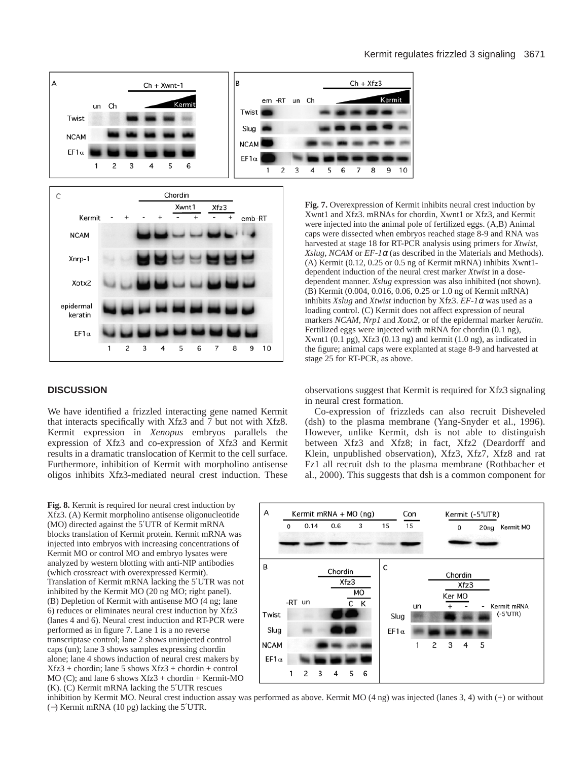



## **DISCUSSION**

We have identified a frizzled interacting gene named Kermit that interacts specifically with Xfz3 and 7 but not with Xfz8. Kermit expression in *Xenopus* embryos parallels the expression of Xfz3 and co-expression of Xfz3 and Kermit results in a dramatic translocation of Kermit to the cell surface. Furthermore, inhibition of Kermit with morpholino antisense oligos inhibits Xfz3-mediated neural crest induction. These

**Fig. 7.** Overexpression of Kermit inhibits neural crest induction by Xwnt1 and Xfz3. mRNAs for chordin, Xwnt1 or Xfz3, and Kermit were injected into the animal pole of fertilized eggs. (A,B) Animal caps were dissected when embryos reached stage 8-9 and RNA was harvested at stage 18 for RT-PCR analysis using primers for *Xtwist*, *Xslug*, *NCAM* or  $EF$ -1 $\alpha$  (as described in the Materials and Methods). (A) Kermit (0.12, 0.25 or 0.5 ng of Kermit mRNA) inhibits Xwnt1 dependent induction of the neural crest marker *Xtwist* in a dosedependent manner. *Xslug* expression was also inhibited (not shown). (B) Kermit (0.004, 0.016, 0.06, 0.25 or 1.0 ng of Kermit mRNA) inhibits *Xslug* and *Xtwist* induction by Xfz3. *EF-1*<sup>α</sup> was used as a loading control. (C) Kermit does not affect expression of neural markers *NCAM*, *Nrp1* and *Xotx2*, or of the epidermal marker *keratin*. Fertilized eggs were injected with mRNA for chordin (0.1 ng), Xwnt1 (0.1 pg), Xfz3 (0.13 ng) and kermit (1.0 ng), as indicated in the figure; animal caps were explanted at stage 8-9 and harvested at stage 25 for RT-PCR, as above.

observations suggest that Kermit is required for Xfz3 signaling in neural crest formation.

Co-expression of frizzleds can also recruit Disheveled (dsh) to the plasma membrane (Yang-Snyder et al., 1996). However, unlike Kermit, dsh is not able to distinguish between Xfz3 and Xfz8; in fact, Xfz2 (Deardorff and Klein, unpublished observation), Xfz3, Xfz7, Xfz8 and rat Fz1 all recruit dsh to the plasma membrane (Rothbacher et al., 2000). This suggests that dsh is a common component for

**Fig. 8.** Kermit is required for neural crest induction by Xfz3. (A) Kermit morpholino antisense oligonucleotide (MO) directed against the 5′UTR of Kermit mRNA blocks translation of Kermit protein. Kermit mRNA was injected into embryos with increasing concentrations of Kermit MO or control MO and embryo lysates were analyzed by western blotting with anti-NIP antibodies (which crossreact with overexpressed Kermit). Translation of Kermit mRNA lacking the 5′UTR was not inhibited by the Kermit MO (20 ng MO; right panel). (B) Depletion of Kermit with antisense MO (4 ng; lane 6) reduces or eliminates neural crest induction by Xfz3 (lanes 4 and 6). Neural crest induction and RT-PCR were performed as in figure 7. Lane 1 is a no reverse transcriptase control; lane 2 shows uninjected control caps (un); lane 3 shows samples expressing chordin alone; lane 4 shows induction of neural crest makers by  $Xfz3 + chordin$ ; lane 5 shows  $Xfz3 + chordin + control$ MO (C); and lane 6 shows Xfz3 + chordin + Kermit-MO (K). (C) Kermit mRNA lacking the 5′UTR rescues



inhibition by Kermit MO. Neural crest induction assay was performed as above. Kermit MO (4 ng) was injected (lanes 3, 4) with (+) or without (−) Kermit mRNA (10 pg) lacking the 5′UTR.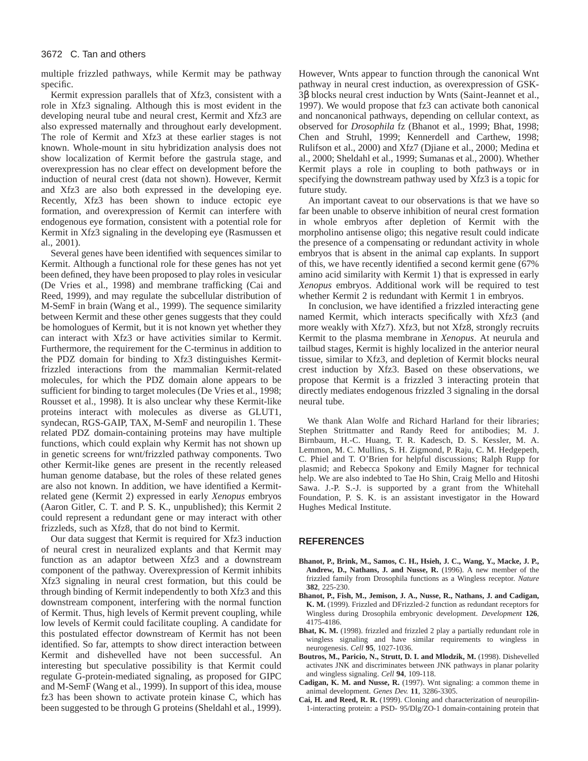multiple frizzled pathways, while Kermit may be pathway specific.

Kermit expression parallels that of Xfz3, consistent with a role in Xfz3 signaling. Although this is most evident in the developing neural tube and neural crest, Kermit and Xfz3 are also expressed maternally and throughout early development. The role of Kermit and Xfz3 at these earlier stages is not known. Whole-mount in situ hybridization analysis does not show localization of Kermit before the gastrula stage, and overexpression has no clear effect on development before the induction of neural crest (data not shown). However, Kermit and Xfz3 are also both expressed in the developing eye. Recently, Xfz3 has been shown to induce ectopic eye formation, and overexpression of Kermit can interfere with endogenous eye formation, consistent with a potential role for Kermit in Xfz3 signaling in the developing eye (Rasmussen et al., 2001).

Several genes have been identified with sequences similar to Kermit. Although a functional role for these genes has not yet been defined, they have been proposed to play roles in vesicular (De Vries et al., 1998) and membrane trafficking (Cai and Reed, 1999), and may regulate the subcellular distribution of M-SemF in brain (Wang et al., 1999). The sequence similarity between Kermit and these other genes suggests that they could be homologues of Kermit, but it is not known yet whether they can interact with Xfz3 or have activities similar to Kermit. Furthermore, the requirement for the C-terminus in addition to the PDZ domain for binding to Xfz3 distinguishes Kermitfrizzled interactions from the mammalian Kermit-related molecules, for which the PDZ domain alone appears to be sufficient for binding to target molecules (De Vries et al., 1998; Rousset et al., 1998). It is also unclear why these Kermit-like proteins interact with molecules as diverse as GLUT1, syndecan, RGS-GAIP, TAX, M-SemF and neuropilin 1. These related PDZ domain-containing proteins may have multiple functions, which could explain why Kermit has not shown up in genetic screens for wnt/frizzled pathway components. Two other Kermit-like genes are present in the recently released human genome database, but the roles of these related genes are also not known. In addition, we have identified a Kermitrelated gene (Kermit 2) expressed in early *Xenopus* embryos (Aaron Gitler, C. T. and P. S. K., unpublished); this Kermit 2 could represent a redundant gene or may interact with other frizzleds, such as Xfz8, that do not bind to Kermit.

Our data suggest that Kermit is required for Xfz3 induction of neural crest in neuralized explants and that Kermit may function as an adaptor between Xfz3 and a downstream component of the pathway. Overexpression of Kermit inhibits Xfz3 signaling in neural crest formation, but this could be through binding of Kermit independently to both Xfz3 and this downstream component, interfering with the normal function of Kermit. Thus, high levels of Kermit prevent coupling, while low levels of Kermit could facilitate coupling. A candidate for this postulated effector downstream of Kermit has not been identified. So far, attempts to show direct interaction between Kermit and dishevelled have not been successful. An interesting but speculative possibility is that Kermit could regulate G-protein-mediated signaling, as proposed for GIPC and M-SemF (Wang et al., 1999). In support of this idea, mouse fz3 has been shown to activate protein kinase C, which has been suggested to be through G proteins (Sheldahl et al., 1999).

However, Wnts appear to function through the canonical Wnt pathway in neural crest induction, as overexpression of GSK-3β blocks neural crest induction by Wnts (Saint-Jeannet et al., 1997). We would propose that fz3 can activate both canonical and noncanonical pathways, depending on cellular context, as observed for *Drosophila* fz (Bhanot et al., 1999; Bhat, 1998; Chen and Struhl, 1999; Kennerdell and Carthew, 1998; Rulifson et al., 2000) and Xfz7 (Djiane et al., 2000; Medina et al., 2000; Sheldahl et al., 1999; Sumanas et al., 2000). Whether Kermit plays a role in coupling to both pathways or in specifying the downstream pathway used by Xfz3 is a topic for future study.

An important caveat to our observations is that we have so far been unable to observe inhibition of neural crest formation in whole embryos after depletion of Kermit with the morpholino antisense oligo; this negative result could indicate the presence of a compensating or redundant activity in whole embryos that is absent in the animal cap explants. In support of this, we have recently identified a second kermit gene (67% amino acid similarity with Kermit 1) that is expressed in early *Xenopus* embryos. Additional work will be required to test whether Kermit 2 is redundant with Kermit 1 in embryos.

In conclusion, we have identified a frizzled interacting gene named Kermit, which interacts specifically with Xfz3 (and more weakly with Xfz7). Xfz3, but not Xfz8, strongly recruits Kermit to the plasma membrane in *Xenopus*. At neurula and tailbud stages, Kermit is highly localized in the anterior neural tissue, similar to Xfz3, and depletion of Kermit blocks neural crest induction by Xfz3. Based on these observations, we propose that Kermit is a frizzled 3 interacting protein that directly mediates endogenous frizzled 3 signaling in the dorsal neural tube.

We thank Alan Wolfe and Richard Harland for their libraries; Stephen Strittmatter and Randy Reed for antibodies; M. J. Birnbaum, H.-C. Huang, T. R. Kadesch, D. S. Kessler, M. A. Lemmon, M. C. Mullins, S. H. Zigmond, P. Raju, C. M. Hedgepeth, C. Phiel and T. O'Brien for helpful discussions; Ralph Rupp for plasmid; and Rebecca Spokony and Emily Magner for technical help. We are also indebted to Tae Ho Shin, Craig Mello and Hitoshi Sawa. J.-P. S.-J. is supported by a grant from the Whitehall Foundation, P. S. K. is an assistant investigator in the Howard Hughes Medical Institute.

## **REFERENCES**

- **Bhanot, P., Brink, M., Samos, C. H., Hsieh, J. C., Wang, Y., Macke, J. P., Andrew, D., Nathans, J. and Nusse, R.** (1996). A new member of the frizzled family from Drosophila functions as a Wingless receptor. *Nature* **382**, 225-230.
- **Bhanot, P., Fish, M., Jemison, J. A., Nusse, R., Nathans, J. and Cadigan, K. M.** (1999). Frizzled and DFrizzled-2 function as redundant receptors for Wingless during Drosophila embryonic development. *Development* **126**, 4175-4186.
- **Bhat, K. M.** (1998). frizzled and frizzled 2 play a partially redundant role in wingless signaling and have similar requirements to wingless in neurogenesis. *Cell* **95**, 1027-1036.
- **Boutros, M., Paricio, N., Strutt, D. I. and Mlodzik, M.** (1998). Dishevelled activates JNK and discriminates between JNK pathways in planar polarity and wingless signaling. *Cell* **94**, 109-118.
- **Cadigan, K. M. and Nusse, R.** (1997). Wnt signaling: a common theme in animal development. *Genes Dev.* **11**, 3286-3305.
- **Cai, H. and Reed, R. R.** (1999). Cloning and characterization of neuropilin-1-interacting protein: a PSD- 95/Dlg/ZO-1 domain-containing protein that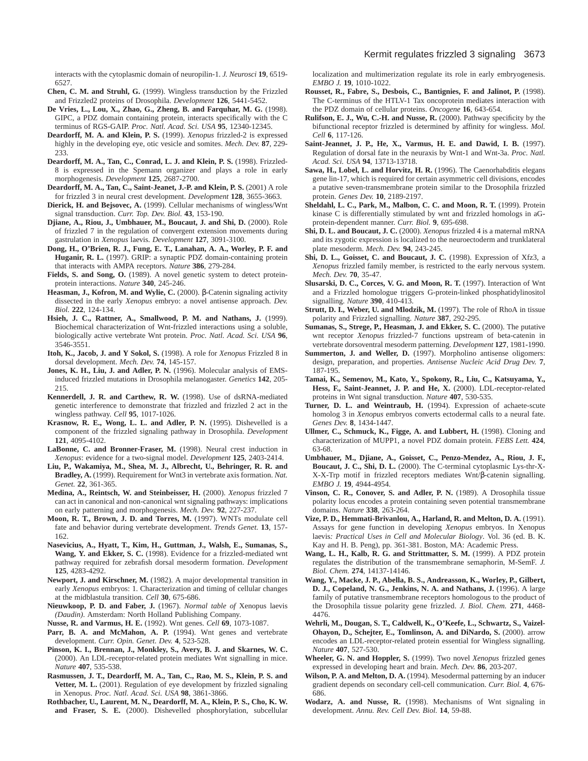interacts with the cytoplasmic domain of neuropilin-1. *J. Neurosci* **19**, 6519- 6527.

- **Chen, C. M. and Struhl, G.** (1999). Wingless transduction by the Frizzled and Frizzled2 proteins of Drosophila. *Development* **126**, 5441-5452.
- **De Vries, L., Lou, X., Zhao, G., Zheng, B. and Farquhar, M. G.** (1998). GIPC, a PDZ domain containing protein, interacts specifically with the C terminus of RGS-GAIP. *Proc. Natl. Acad. Sci. USA* **95**, 12340-12345.
- **Deardorff, M. A. and Klein, P. S.** (1999). *Xenopus* frizzled-2 is expressed highly in the developing eye, otic vesicle and somites. *Mech. Dev.* **87**, 229- 233.
- **Deardorff, M. A., Tan, C., Conrad, L. J. and Klein, P. S.** (1998). Frizzled-8 is expressed in the Spemann organizer and plays a role in early morphogenesis. *Development* **125**, 2687-2700.
- **Deardorff, M. A., Tan, C., Saint-Jeanet, J.-P. and Klein, P. S.** (2001) A role for frizzled 3 in neural crest development. *Development* **128**, 3655-3663.
- **Dierick, H. and Bejsovec, A.** (1999). Cellular mechanisms of wingless/Wnt signal transduction. *Curr. Top. Dev. Biol.* **43**, 153-190.
- **Djiane, A., Riou, J., Umbhauer, M., Boucaut, J. and Shi, D.** (2000). Role of frizzled 7 in the regulation of convergent extension movements during gastrulation in *Xenopus* laevis. *Development* **127**, 3091-3100.
- **Dong, H., O'Brien, R. J., Fung, E. T., Lanahan, A. A., Worley, P. F. and Huganir, R. L.** (1997). GRIP: a synaptic PDZ domain-containing protein that interacts with AMPA receptors. *Nature* **386**, 279-284.
- **Fields, S. and Song, O.** (1989). A novel genetic system to detect proteinprotein interactions. *Nature* **340**, 245-246.
- **Heasman, J., Kofron, M. and Wylie, C.** (2000). β-Catenin signaling activity dissected in the early *Xenopus* embryo: a novel antisense approach. *Dev. Biol.* **222**, 124-134.
- **Hsieh, J. C., Rattner, A., Smallwood, P. M. and Nathans, J.** (1999). Biochemical characterization of Wnt-frizzled interactions using a soluble, biologically active vertebrate Wnt protein. *Proc. Natl. Acad. Sci. USA* **96**, 3546-3551.
- **Itoh, K., Jacob, J. and Y Sokol, S.** (1998). A role for *Xenopus* Frizzled 8 in dorsal development. *Mech. Dev.* **74**, 145-157.
- **Jones, K. H., Liu, J. and Adler, P. N.** (1996). Molecular analysis of EMSinduced frizzled mutations in Drosophila melanogaster. *Genetics* **142**, 205- 215.
- **Kennerdell, J. R. and Carthew, R. W.** (1998). Use of dsRNA-mediated genetic interference to demonstrate that frizzled and frizzled 2 act in the wingless pathway. *Cell* **95**, 1017-1026.
- **Krasnow, R. E., Wong, L. L. and Adler, P. N.** (1995). Dishevelled is a component of the frizzled signaling pathway in Drosophila. *Development* **121**, 4095-4102.
- **LaBonne, C. and Bronner-Fraser, M.** (1998). Neural crest induction in *Xenopus*: evidence for a two-signal model. *Development* **125**, 2403-2414.
- **Liu, P., Wakamiya, M., Shea, M. J., Albrecht, U., Behringer, R. R. and Bradley, A.** (1999). Requirement for Wnt3 in vertebrate axis formation. *Nat. Genet.* **22**, 361-365.
- **Medina, A., Reintsch, W. and Steinbeisser, H.** (2000). *Xenopus* frizzled 7 can act in canonical and non-canonical wnt signaling pathways: implications on early patterning and morphogenesis. *Mech. Dev.* **92**, 227-237.
- **Moon, R. T., Brown, J. D. and Torres, M.** (1997). WNTs modulate cell fate and behavior during vertebrate development. *Trends Genet.* **13**, 157- 162.
- **Nasevicius, A., Hyatt, T., Kim, H., Guttman, J., Walsh, E., Sumanas, S., Wang, Y. and Ekker, S. C.** (1998). Evidence for a frizzled-mediated wnt pathway required for zebrafish dorsal mesoderm formation. *Development* **125**, 4283-4292.
- **Newport, J. and Kirschner, M.** (1982). A major developmental transition in early *Xenopus* embryos: 1. Characterization and timing of cellular changes at the midblastula transition. *Cell* **30**, 675-686.
- **Nieuwkoop, P. D. and Faber, J.** (1967). *Normal table of* Xenopus laevis *(Daudin)*. Amsterdam: North Holland Publishing Company.
- **Nusse, R. and Varmus, H. E.** (1992). Wnt genes. *Cell* **69**, 1073-1087.
- Parr, B. A. and McMahon, A. P. (1994). Wnt genes and vertebrate development. *Curr. Opin. Genet. Dev.* **4**, 523-528.
- **Pinson, K. I., Brennan, J., Monkley, S., Avery, B. J. and Skarnes, W. C.** (2000). An LDL-receptor-related protein mediates Wnt signalling in mice. *Nature* **407**, 535-538.
- **Rasmussen, J. T., Deardorff, M. A., Tan, C., Rao, M. S., Klein, P. S. and** Vetter, M. L. (2001). Regulation of eye development by frizzled signaling in Xenopus. *Proc. Natl. Acad. Sci. USA* **98**, 3861-3866.
- **Rothbacher, U., Laurent, M. N., Deardorff, M. A., Klein, P. S., Cho, K. W. and Fraser, S. E.** (2000). Dishevelled phosphorylation, subcellular

localization and multimerization regulate its role in early embryogenesis. *EMBO J.* **19**, 1010-1022.

- **Rousset, R., Fabre, S., Desbois, C., Bantignies, F. and Jalinot, P.** (1998). The C-terminus of the HTLV-1 Tax oncoprotein mediates interaction with the PDZ domain of cellular proteins. *Oncogene* **16**, 643-654.
- **Rulifson, E. J., Wu, C.-H. and Nusse, R.** (2000). Pathway specificity by the bifunctional receptor frizzled is determined by affinity for wingless. *Mol. Cell* **6**, 117-126.
- **Saint-Jeannet, J. P., He, X., Varmus, H. E. and Dawid, I. B.** (1997). Regulation of dorsal fate in the neuraxis by Wnt-1 and Wnt-3a. *Proc. Natl. Acad. Sci. USA* **94**, 13713-13718.
- **Sawa, H., Lobel, L. and Horvitz, H. R.** (1996). The Caenorhabditis elegans gene lin-17, which is required for certain asymmetric cell divisions, encodes a putative seven-transmembrane protein similar to the Drosophila frizzled protein. *Genes Dev.* **10**, 2189-2197.
- **Sheldahl, L. C., Park, M., Malbon, C. C. and Moon, R. T.** (1999). Protein kinase C is differentially stimulated by wnt and frizzled homologs in aGprotein-dependent manner. *Curr. Biol.* **9**, 695-698.
- **Shi, D. L. and Boucaut, J. C.** (2000). *Xenopus* frizzled 4 is a maternal mRNA and its zygotic expression is localized to the neuroectoderm and trunklateral plate mesoderm. *Mech. Dev.* **94**, 243-245.
- **Shi, D. L., Goisset, C. and Boucaut, J. C.** (1998). Expression of Xfz3, a *Xenopus* frizzled family member, is restricted to the early nervous system. *Mech. Dev.* **70**, 35-47.
- **Slusarski, D. C., Corces, V. G. and Moon, R. T.** (1997). Interaction of Wnt and a Frizzled homologue triggers G-protein-linked phosphatidylinositol signalling. *Nature* **390**, 410-413.
- **Strutt, D. I., Weber, U. and Mlodzik, M.** (1997). The role of RhoA in tissue polarity and Frizzled signalling. *Nature* **387**, 292-295.
- **Sumanas, S., Strege, P., Heasman, J. and Ekker, S. C.** (2000). The putative wnt receptor *Xenopus* frizzled-7 functions upstream of beta-catenin in vertebrate dorsoventral mesoderm patterning. *Development* **127**, 1981-1990.
- **Summerton, J. and Weller, D.** (1997). Morpholino antisense oligomers: design, preparation, and properties. *Antisense Nucleic Acid Drug Dev.* **7**, 187-195.
- **Tamai, K., Semenov, M., Kato, Y., Spokony, R., Liu, C., Katsuyama, Y., Hess, F., Saint-Jeannet, J. P. and He, X.** (2000). LDL-receptor-related proteins in Wnt signal transduction. *Nature* **407**, 530-535.
- **Turner, D. L. and Weintraub, H.** (1994). Expression of achaete-scute homolog 3 in *Xenopus* embryos converts ectodermal calls to a neural fate. *Genes Dev.* **8**, 1434-1447.
- **Ullmer, C., Schmuck, K., Figge, A. and Lubbert, H.** (1998). Cloning and characterization of MUPP1, a novel PDZ domain protein. *FEBS Lett.* **424**, 63-68.
- **Umbhauer, M., Djiane, A., Goisset, C., Penzo-Mendez, A., Riou, J. F., Boucaut, J. C., Shi, D. L.** (2000). The C-terminal cytoplasmic Lys-thr-X-X-X-Trp motif in frizzled receptors mediates Wnt/β-catenin signalling. *EMBO J.* **19**, 4944-4954.
- **Vinson, C. R., Conover, S. and Adler, P. N.** (1989). A Drosophila tissue polarity locus encodes a protein containing seven potential transmembrane domains. *Nature* **338**, 263-264.
- **Vize, P. D., Hemmati-Brivanlou, A., Harland, R. and Melton, D. A.** (1991). Assays for gene function in developing *Xenopus* embryos. In Xenopus laevis*: Practical Uses in Cell and Molecular Biology*. Vol. 36 (ed. B. K. Kay and H. B. Peng), pp. 361-381. Boston, MA: Academic Press.
- **Wang, L. H., Kalb, R. G. and Strittmatter, S. M.** (1999). A PDZ protein regulates the distribution of the transmembrane semaphorin, M-SemF. *J. Biol. Chem.* **274**, 14137-14146.
- **Wang, Y., Macke, J. P., Abella, B. S., Andreasson, K., Worley, P., Gilbert, D. J., Copeland, N. G., Jenkins, N. A. and Nathans, J.** (1996). A large family of putative transmembrane receptors homologous to the product of the Drosophila tissue polarity gene frizzled. *J. Biol. Chem.* **271**, 4468- 4476.
- **Wehrli, M., Dougan, S. T., Caldwell, K., O'Keefe, L., Schwartz, S., Vaizel-Ohayon, D., Schejter, E., Tomlinson, A. and DiNardo, S.** (2000). arrow encodes an LDL-receptor-related protein essential for Wingless signalling. *Nature* **407**, 527-530.
- **Wheeler, G. N. and Hoppler, S.** (1999). Two novel *Xenopus* frizzled genes expressed in developing heart and brain. *Mech. Dev.* **86**, 203-207.
- **Wilson, P. A. and Melton, D. A.** (1994). Mesodermal patterning by an inducer gradient depends on secondary cell-cell communication. *Curr. Biol.* **4**, 676- 686.
- **Wodarz, A. and Nusse, R.** (1998). Mechanisms of Wnt signaling in development. *Annu. Rev. Cell Dev. Biol.* **14**, 59-88.